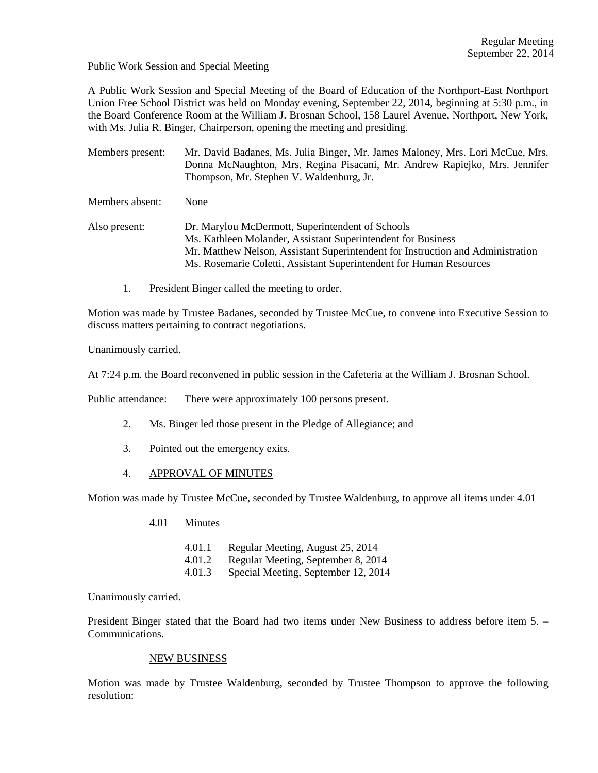#### Public Work Session and Special Meeting

A Public Work Session and Special Meeting of the Board of Education of the Northport-East Northport Union Free School District was held on Monday evening, September 22, 2014, beginning at 5:30 p.m., in the Board Conference Room at the William J. Brosnan School, 158 Laurel Avenue, Northport, New York, with Ms. Julia R. Binger, Chairperson, opening the meeting and presiding.

Members present: Mr. David Badanes, Ms. Julia Binger, Mr. James Maloney, Mrs. Lori McCue, Mrs. Donna McNaughton, Mrs. Regina Pisacani, Mr. Andrew Rapiejko, Mrs. Jennifer Thompson, Mr. Stephen V. Waldenburg, Jr.

Members absent: None

Also present: Dr. Marylou McDermott, Superintendent of Schools Ms. Kathleen Molander, Assistant Superintendent for Business Mr. Matthew Nelson, Assistant Superintendent for Instruction and Administration Ms. Rosemarie Coletti, Assistant Superintendent for Human Resources

1. President Binger called the meeting to order.

Motion was made by Trustee Badanes, seconded by Trustee McCue, to convene into Executive Session to discuss matters pertaining to contract negotiations.

Unanimously carried.

At 7:24 p.m. the Board reconvened in public session in the Cafeteria at the William J. Brosnan School.

Public attendance: There were approximately 100 persons present.

- 2. Ms. Binger led those present in the Pledge of Allegiance; and
- 3. Pointed out the emergency exits.
- 4. APPROVAL OF MINUTES

Motion was made by Trustee McCue, seconded by Trustee Waldenburg, to approve all items under 4.01

- 4.01 Minutes
	- 4.01.1 Regular Meeting, August 25, 2014
	- 4.01.2 Regular Meeting, September 8, 2014
	- 4.01.3 Special Meeting, September 12, 2014

Unanimously carried.

President Binger stated that the Board had two items under New Business to address before item 5. – Communications.

#### NEW BUSINESS

Motion was made by Trustee Waldenburg, seconded by Trustee Thompson to approve the following resolution: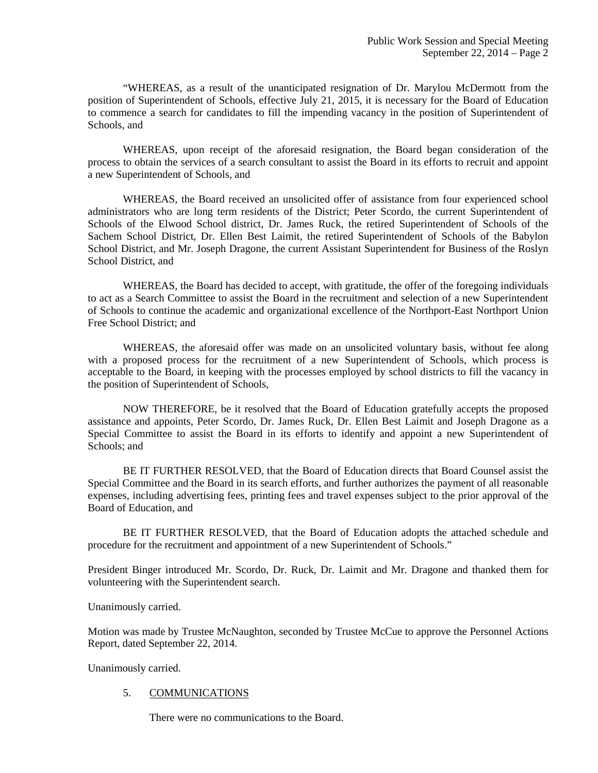"WHEREAS, as a result of the unanticipated resignation of Dr. Marylou McDermott from the position of Superintendent of Schools, effective July 21, 2015, it is necessary for the Board of Education to commence a search for candidates to fill the impending vacancy in the position of Superintendent of Schools, and

 WHEREAS, upon receipt of the aforesaid resignation, the Board began consideration of the process to obtain the services of a search consultant to assist the Board in its efforts to recruit and appoint a new Superintendent of Schools, and

 WHEREAS, the Board received an unsolicited offer of assistance from four experienced school administrators who are long term residents of the District; Peter Scordo, the current Superintendent of Schools of the Elwood School district, Dr. James Ruck, the retired Superintendent of Schools of the Sachem School District, Dr. Ellen Best Laimit, the retired Superintendent of Schools of the Babylon School District, and Mr. Joseph Dragone, the current Assistant Superintendent for Business of the Roslyn School District, and

 WHEREAS, the Board has decided to accept, with gratitude, the offer of the foregoing individuals to act as a Search Committee to assist the Board in the recruitment and selection of a new Superintendent of Schools to continue the academic and organizational excellence of the Northport-East Northport Union Free School District; and

 WHEREAS, the aforesaid offer was made on an unsolicited voluntary basis, without fee along with a proposed process for the recruitment of a new Superintendent of Schools, which process is acceptable to the Board, in keeping with the processes employed by school districts to fill the vacancy in the position of Superintendent of Schools,

 NOW THEREFORE, be it resolved that the Board of Education gratefully accepts the proposed assistance and appoints, Peter Scordo, Dr. James Ruck, Dr. Ellen Best Laimit and Joseph Dragone as a Special Committee to assist the Board in its efforts to identify and appoint a new Superintendent of Schools; and

 BE IT FURTHER RESOLVED, that the Board of Education directs that Board Counsel assist the Special Committee and the Board in its search efforts, and further authorizes the payment of all reasonable expenses, including advertising fees, printing fees and travel expenses subject to the prior approval of the Board of Education, and

 BE IT FURTHER RESOLVED, that the Board of Education adopts the attached schedule and procedure for the recruitment and appointment of a new Superintendent of Schools."

President Binger introduced Mr. Scordo, Dr. Ruck, Dr. Laimit and Mr. Dragone and thanked them for volunteering with the Superintendent search.

Unanimously carried.

Motion was made by Trustee McNaughton, seconded by Trustee McCue to approve the Personnel Actions Report, dated September 22, 2014.

Unanimously carried.

## 5. COMMUNICATIONS

There were no communications to the Board.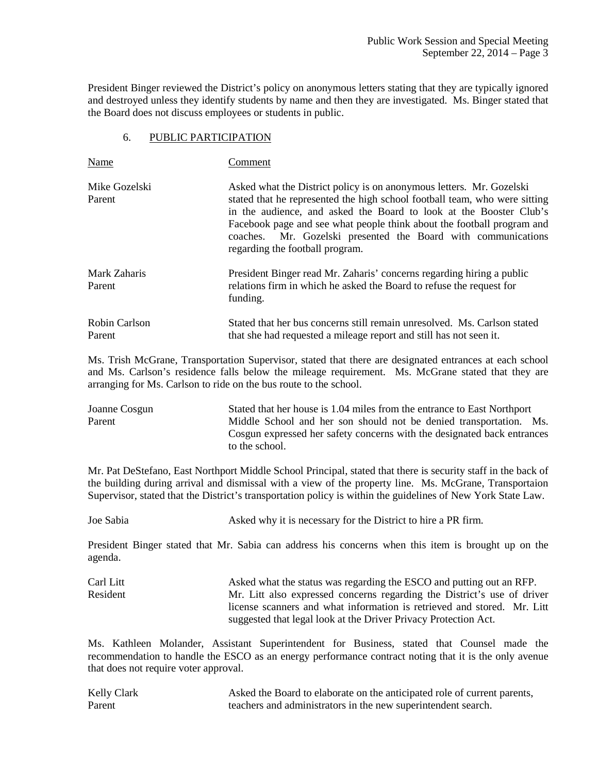President Binger reviewed the District's policy on anonymous letters stating that they are typically ignored and destroyed unless they identify students by name and then they are investigated. Ms. Binger stated that the Board does not discuss employees or students in public.

#### 6. PUBLIC PARTICIPATION

| Name                    | Comment                                                                                                                                                                                                                                                                                                                                                                                                |
|-------------------------|--------------------------------------------------------------------------------------------------------------------------------------------------------------------------------------------------------------------------------------------------------------------------------------------------------------------------------------------------------------------------------------------------------|
| Mike Gozelski<br>Parent | Asked what the District policy is on anonymous letters. Mr. Gozelski<br>stated that he represented the high school football team, who were sitting<br>in the audience, and asked the Board to look at the Booster Club's<br>Facebook page and see what people think about the football program and<br>coaches. Mr. Gozelski presented the Board with communications<br>regarding the football program. |
| Mark Zaharis<br>Parent  | President Binger read Mr. Zaharis' concerns regarding hiring a public<br>relations firm in which he asked the Board to refuse the request for<br>funding.                                                                                                                                                                                                                                              |
| Robin Carlson<br>Parent | Stated that her bus concerns still remain unresolved. Ms. Carlson stated<br>that she had requested a mileage report and still has not seen it.                                                                                                                                                                                                                                                         |

Ms. Trish McGrane, Transportation Supervisor, stated that there are designated entrances at each school and Ms. Carlson's residence falls below the mileage requirement. Ms. McGrane stated that they are arranging for Ms. Carlson to ride on the bus route to the school.

Joanne Cosgun Stated that her house is 1.04 miles from the entrance to East Northport Parent Middle School and her son should not be denied transportation. Ms. Cosgun expressed her safety concerns with the designated back entrances to the school.

Mr. Pat DeStefano, East Northport Middle School Principal, stated that there is security staff in the back of the building during arrival and dismissal with a view of the property line. Ms. McGrane, Transportaion Supervisor, stated that the District's transportation policy is within the guidelines of New York State Law.

Joe Sabia Asked why it is necessary for the District to hire a PR firm.

President Binger stated that Mr. Sabia can address his concerns when this item is brought up on the agenda.

Carl Litt Asked what the status was regarding the ESCO and putting out an RFP. Resident Mr. Litt also expressed concerns regarding the District's use of driver license scanners and what information is retrieved and stored. Mr. Litt suggested that legal look at the Driver Privacy Protection Act.

Ms. Kathleen Molander, Assistant Superintendent for Business, stated that Counsel made the recommendation to handle the ESCO as an energy performance contract noting that it is the only avenue that does not require voter approval.

| Kelly Clark | Asked the Board to elaborate on the anticipated role of current parents, |
|-------------|--------------------------------------------------------------------------|
| Parent      | teachers and administrators in the new superintendent search.            |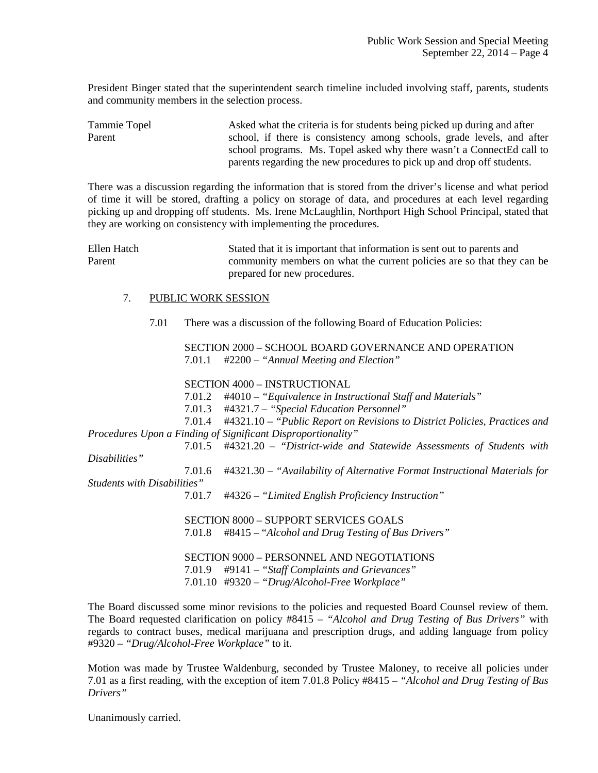President Binger stated that the superintendent search timeline included involving staff, parents, students and community members in the selection process.

Tammie Topel Asked what the criteria is for students being picked up during and after Parent school, if there is consistency among schools, grade levels, and after school programs. Ms. Topel asked why there wasn't a ConnectEd call to parents regarding the new procedures to pick up and drop off students.

There was a discussion regarding the information that is stored from the driver's license and what period of time it will be stored, drafting a policy on storage of data, and procedures at each level regarding picking up and dropping off students. Ms. Irene McLaughlin, Northport High School Principal, stated that they are working on consistency with implementing the procedures.

Ellen Hatch Stated that it is important that information is sent out to parents and Parent community members on what the current policies are so that they can be prepared for new procedures.

#### 7. PUBLIC WORK SESSION

7.01 There was a discussion of the following Board of Education Policies:

 SECTION 2000 – SCHOOL BOARD GOVERNANCE AND OPERATION 7.01.1 #2200 – *"Annual Meeting and Election"* 

SECTION 4000 – INSTRUCTIONAL

7.01.2 #4010 – *"Equivalence in Instructional Staff and Materials"*

7.01.3 #4321.7 – *"Special Education Personnel"*

 7.01.4 #4321.10 – *"Public Report on Revisions to District Policies, Practices and Procedures Upon a Finding of Significant Disproportionality"*

 7.01.5 #4321.20 – *"District-wide and Statewide Assessments of Students with Disabilities"*

 7.01.6 #4321.30 – *"Availability of Alternative Format Instructional Materials for Students with Disabilities"*

7.01.7 #4326 – *"Limited English Proficiency Instruction"*

 SECTION 8000 – SUPPORT SERVICES GOALS 7.01.8 #8415 – "*Alcohol and Drug Testing of Bus Drivers"*

 SECTION 9000 – PERSONNEL AND NEGOTIATIONS 7.01.9 #9141 – *"Staff Complaints and Grievances"* 7.01.10 #9320 – *"Drug/Alcohol-Free Workplace"* 

The Board discussed some minor revisions to the policies and requested Board Counsel review of them. The Board requested clarification on policy #8415 – *"Alcohol and Drug Testing of Bus Drivers"* with regards to contract buses, medical marijuana and prescription drugs, and adding language from policy #9320 – *"Drug/Alcohol-Free Workplace"* to it.

Motion was made by Trustee Waldenburg, seconded by Trustee Maloney, to receive all policies under 7.01 as a first reading, with the exception of item 7.01.8 Policy #8415 – *"Alcohol and Drug Testing of Bus Drivers"*

Unanimously carried.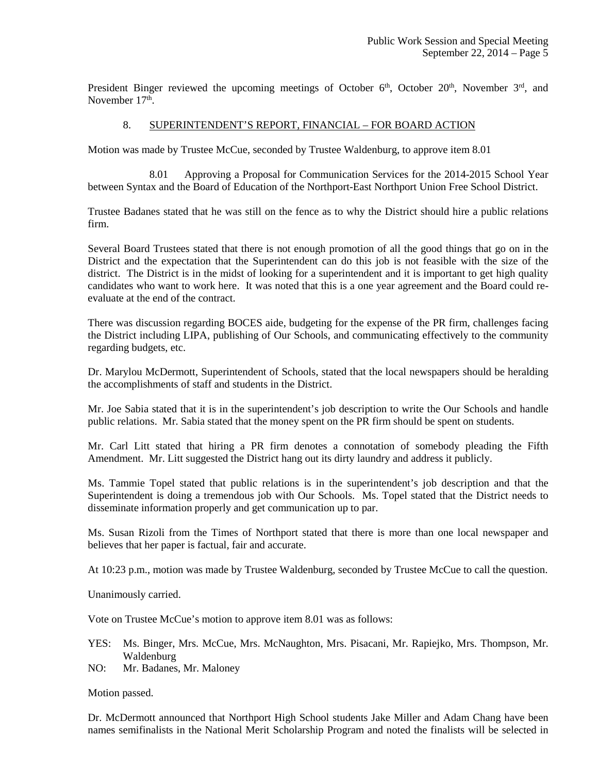President Binger reviewed the upcoming meetings of October  $6<sup>th</sup>$ , October  $20<sup>th</sup>$ , November  $3<sup>rd</sup>$ , and November 17<sup>th</sup>.

### 8. SUPERINTENDENT'S REPORT, FINANCIAL – FOR BOARD ACTION

Motion was made by Trustee McCue, seconded by Trustee Waldenburg, to approve item 8.01

 8.01 Approving a Proposal for Communication Services for the 2014-2015 School Year between Syntax and the Board of Education of the Northport-East Northport Union Free School District.

Trustee Badanes stated that he was still on the fence as to why the District should hire a public relations firm.

Several Board Trustees stated that there is not enough promotion of all the good things that go on in the District and the expectation that the Superintendent can do this job is not feasible with the size of the district. The District is in the midst of looking for a superintendent and it is important to get high quality candidates who want to work here. It was noted that this is a one year agreement and the Board could reevaluate at the end of the contract.

There was discussion regarding BOCES aide, budgeting for the expense of the PR firm, challenges facing the District including LIPA, publishing of Our Schools, and communicating effectively to the community regarding budgets, etc.

Dr. Marylou McDermott, Superintendent of Schools, stated that the local newspapers should be heralding the accomplishments of staff and students in the District.

Mr. Joe Sabia stated that it is in the superintendent's job description to write the Our Schools and handle public relations. Mr. Sabia stated that the money spent on the PR firm should be spent on students.

Mr. Carl Litt stated that hiring a PR firm denotes a connotation of somebody pleading the Fifth Amendment. Mr. Litt suggested the District hang out its dirty laundry and address it publicly.

Ms. Tammie Topel stated that public relations is in the superintendent's job description and that the Superintendent is doing a tremendous job with Our Schools. Ms. Topel stated that the District needs to disseminate information properly and get communication up to par.

Ms. Susan Rizoli from the Times of Northport stated that there is more than one local newspaper and believes that her paper is factual, fair and accurate.

At 10:23 p.m., motion was made by Trustee Waldenburg, seconded by Trustee McCue to call the question.

Unanimously carried.

Vote on Trustee McCue's motion to approve item 8.01 was as follows:

- YES: Ms. Binger, Mrs. McCue, Mrs. McNaughton, Mrs. Pisacani, Mr. Rapiejko, Mrs. Thompson, Mr. Waldenburg
- NO: Mr. Badanes, Mr. Maloney

Motion passed.

Dr. McDermott announced that Northport High School students Jake Miller and Adam Chang have been names semifinalists in the National Merit Scholarship Program and noted the finalists will be selected in